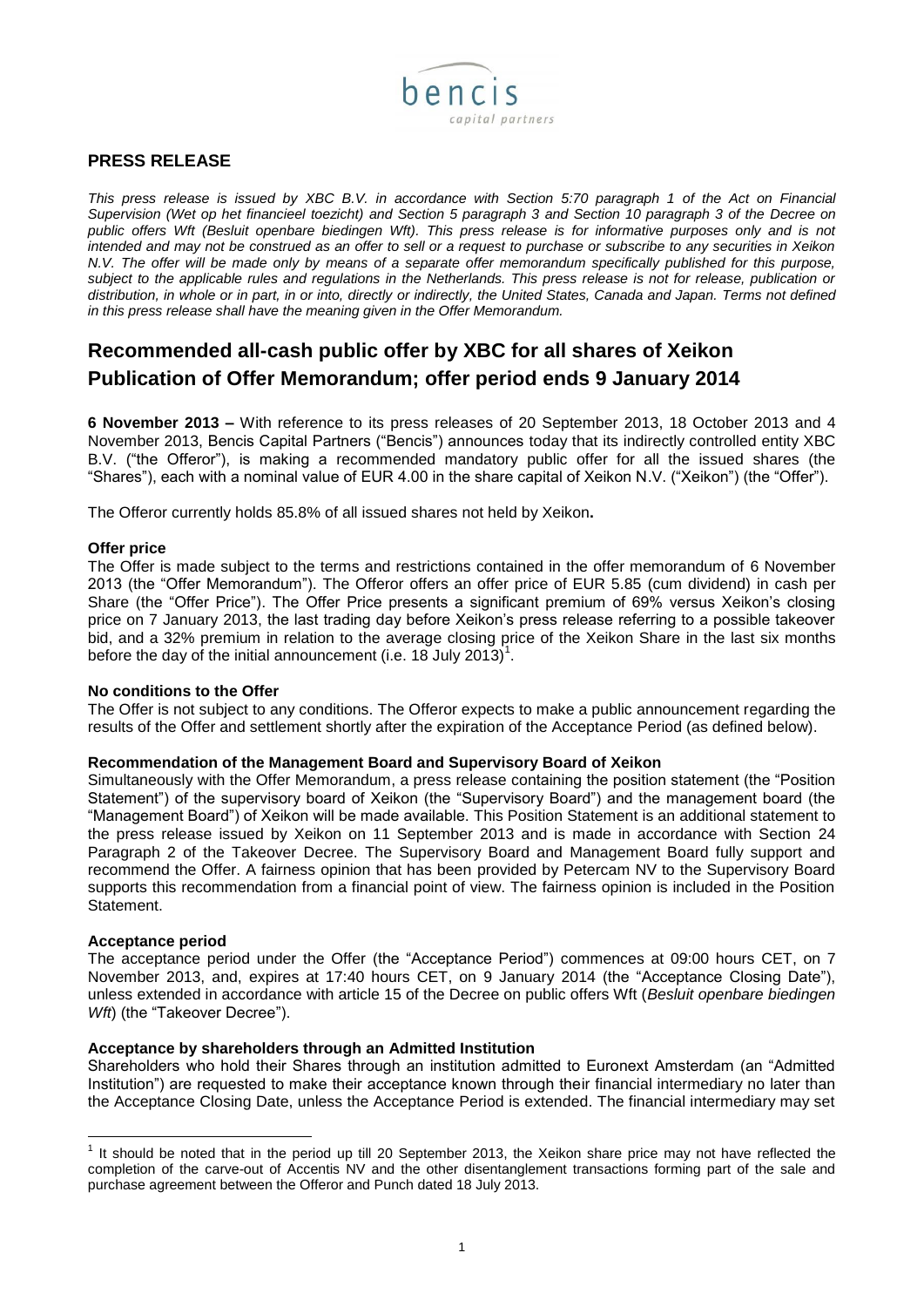

# **PRESS RELEASE**

*This press release is issued by XBC B.V. in accordance with Section 5:70 paragraph 1 of the Act on Financial Supervision (Wet op het financieel toezicht) and Section 5 paragraph 3 and Section 10 paragraph 3 of the Decree on*  public offers Wft (Besluit openbare biedingen Wft). This press release is for informative purposes only and is not *intended and may not be construed as an offer to sell or a request to purchase or subscribe to any securities in Xeikon N.V. The offer will be made only by means of a separate offer memorandum specifically published for this purpose, subject to the applicable rules and regulations in the Netherlands. This press release is not for release, publication or distribution, in whole or in part, in or into, directly or indirectly, the United States, Canada and Japan. Terms not defined in this press release shall have the meaning given in the Offer Memorandum.*

# **Recommended all-cash public offer by XBC for all shares of Xeikon Publication of Offer Memorandum; offer period ends 9 January 2014**

**6 November 2013 –** With reference to its press releases of 20 September 2013, 18 October 2013 and 4 November 2013, Bencis Capital Partners ("Bencis") announces today that its indirectly controlled entity XBC B.V. ("the Offeror"), is making a recommended mandatory public offer for all the issued shares (the "Shares"), each with a nominal value of EUR 4.00 in the share capital of Xeikon N.V. ("Xeikon") (the "Offer").

The Offeror currently holds 85.8% of all issued shares not held by Xeikon**.** 

## **Offer price**

The Offer is made subject to the terms and restrictions contained in the offer memorandum of 6 November 2013 (the "Offer Memorandum"). The Offeror offers an offer price of EUR 5.85 (cum dividend) in cash per Share (the "Offer Price"). The Offer Price presents a significant premium of 69% versus Xeikon's closing price on 7 January 2013, the last trading day before Xeikon's press release referring to a possible takeover bid, and a 32% premium in relation to the average closing price of the Xeikon Share in the last six months before the day of the initial announcement (i.e. 18 July 2013)<sup>1</sup>.

## **No conditions to the Offer**

The Offer is not subject to any conditions. The Offeror expects to make a public announcement regarding the results of the Offer and settlement shortly after the expiration of the Acceptance Period (as defined below).

#### **Recommendation of the Management Board and Supervisory Board of Xeikon**

Simultaneously with the Offer Memorandum, a press release containing the position statement (the "Position Statement") of the supervisory board of Xeikon (the "Supervisory Board") and the management board (the "Management Board") of Xeikon will be made available. This Position Statement is an additional statement to the press release issued by Xeikon on 11 September 2013 and is made in accordance with Section 24 Paragraph 2 of the Takeover Decree. The Supervisory Board and Management Board fully support and recommend the Offer. A fairness opinion that has been provided by Petercam NV to the Supervisory Board supports this recommendation from a financial point of view. The fairness opinion is included in the Position Statement.

#### **Acceptance period**

-

The acceptance period under the Offer (the "Acceptance Period") commences at 09:00 hours CET, on 7 November 2013, and, expires at 17:40 hours CET, on 9 January 2014 (the "Acceptance Closing Date"), unless extended in accordance with article 15 of the Decree on public offers Wft (*Besluit openbare biedingen Wft*) (the "Takeover Decree").

## **Acceptance by shareholders through an Admitted Institution**

Shareholders who hold their Shares through an institution admitted to Euronext Amsterdam (an "Admitted Institution") are requested to make their acceptance known through their financial intermediary no later than the Acceptance Closing Date, unless the Acceptance Period is extended. The financial intermediary may set

 $1$  It should be noted that in the period up till 20 September 2013, the Xeikon share price may not have reflected the completion of the carve-out of Accentis NV and the other disentanglement transactions forming part of the sale and purchase agreement between the Offeror and Punch dated 18 July 2013.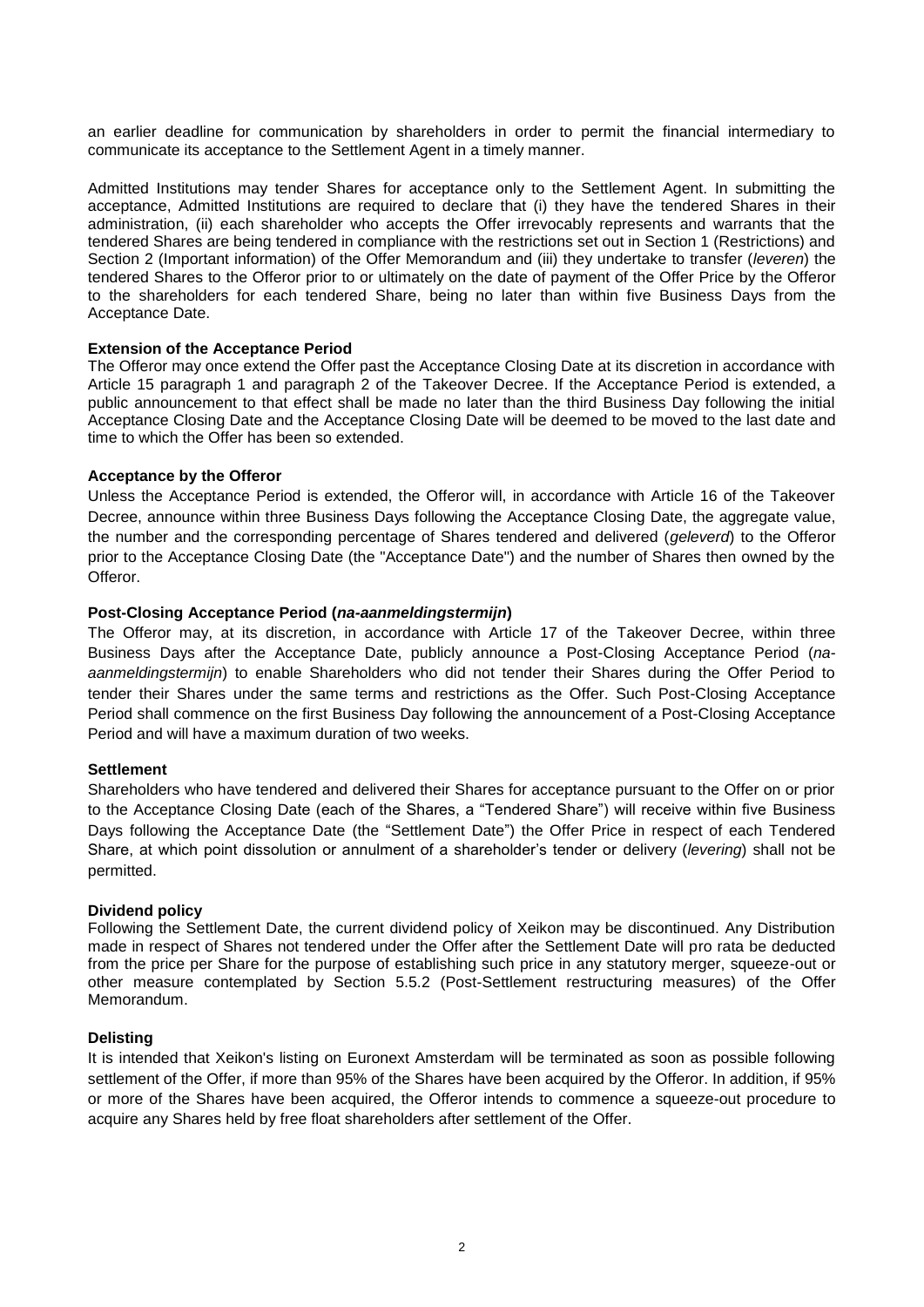an earlier deadline for communication by shareholders in order to permit the financial intermediary to communicate its acceptance to the Settlement Agent in a timely manner.

Admitted Institutions may tender Shares for acceptance only to the Settlement Agent. In submitting the acceptance, Admitted Institutions are required to declare that (i) they have the tendered Shares in their administration, (ii) each shareholder who accepts the Offer irrevocably represents and warrants that the tendered Shares are being tendered in compliance with the restrictions set out in Section 1 (Restrictions) and Section 2 (Important information) of the Offer Memorandum and (iii) they undertake to transfer (*leveren*) the tendered Shares to the Offeror prior to or ultimately on the date of payment of the Offer Price by the Offeror to the shareholders for each tendered Share, being no later than within five Business Days from the Acceptance Date.

## **Extension of the Acceptance Period**

The Offeror may once extend the Offer past the Acceptance Closing Date at its discretion in accordance with Article 15 paragraph 1 and paragraph 2 of the Takeover Decree. If the Acceptance Period is extended, a public announcement to that effect shall be made no later than the third Business Day following the initial Acceptance Closing Date and the Acceptance Closing Date will be deemed to be moved to the last date and time to which the Offer has been so extended.

#### **Acceptance by the Offeror**

Unless the Acceptance Period is extended, the Offeror will, in accordance with Article 16 of the Takeover Decree, announce within three Business Days following the Acceptance Closing Date, the aggregate value, the number and the corresponding percentage of Shares tendered and delivered (*geleverd*) to the Offeror prior to the Acceptance Closing Date (the "Acceptance Date") and the number of Shares then owned by the Offeror.

#### **Post-Closing Acceptance Period (***na-aanmeldingstermijn***)**

The Offeror may, at its discretion, in accordance with Article 17 of the Takeover Decree, within three Business Days after the Acceptance Date, publicly announce a Post-Closing Acceptance Period (*naaanmeldingstermijn*) to enable Shareholders who did not tender their Shares during the Offer Period to tender their Shares under the same terms and restrictions as the Offer. Such Post-Closing Acceptance Period shall commence on the first Business Day following the announcement of a Post-Closing Acceptance Period and will have a maximum duration of two weeks.

#### **Settlement**

Shareholders who have tendered and delivered their Shares for acceptance pursuant to the Offer on or prior to the Acceptance Closing Date (each of the Shares, a "Tendered Share") will receive within five Business Days following the Acceptance Date (the "Settlement Date") the Offer Price in respect of each Tendered Share, at which point dissolution or annulment of a shareholder's tender or delivery (*levering*) shall not be permitted.

#### **Dividend policy**

Following the Settlement Date, the current dividend policy of Xeikon may be discontinued. Any Distribution made in respect of Shares not tendered under the Offer after the Settlement Date will pro rata be deducted from the price per Share for the purpose of establishing such price in any statutory merger, squeeze-out or other measure contemplated by Section 5.5.2 (Post-Settlement restructuring measures) of the Offer Memorandum.

#### **Delisting**

It is intended that Xeikon's listing on Euronext Amsterdam will be terminated as soon as possible following settlement of the Offer, if more than 95% of the Shares have been acquired by the Offeror. In addition, if 95% or more of the Shares have been acquired, the Offeror intends to commence a squeeze-out procedure to acquire any Shares held by free float shareholders after settlement of the Offer.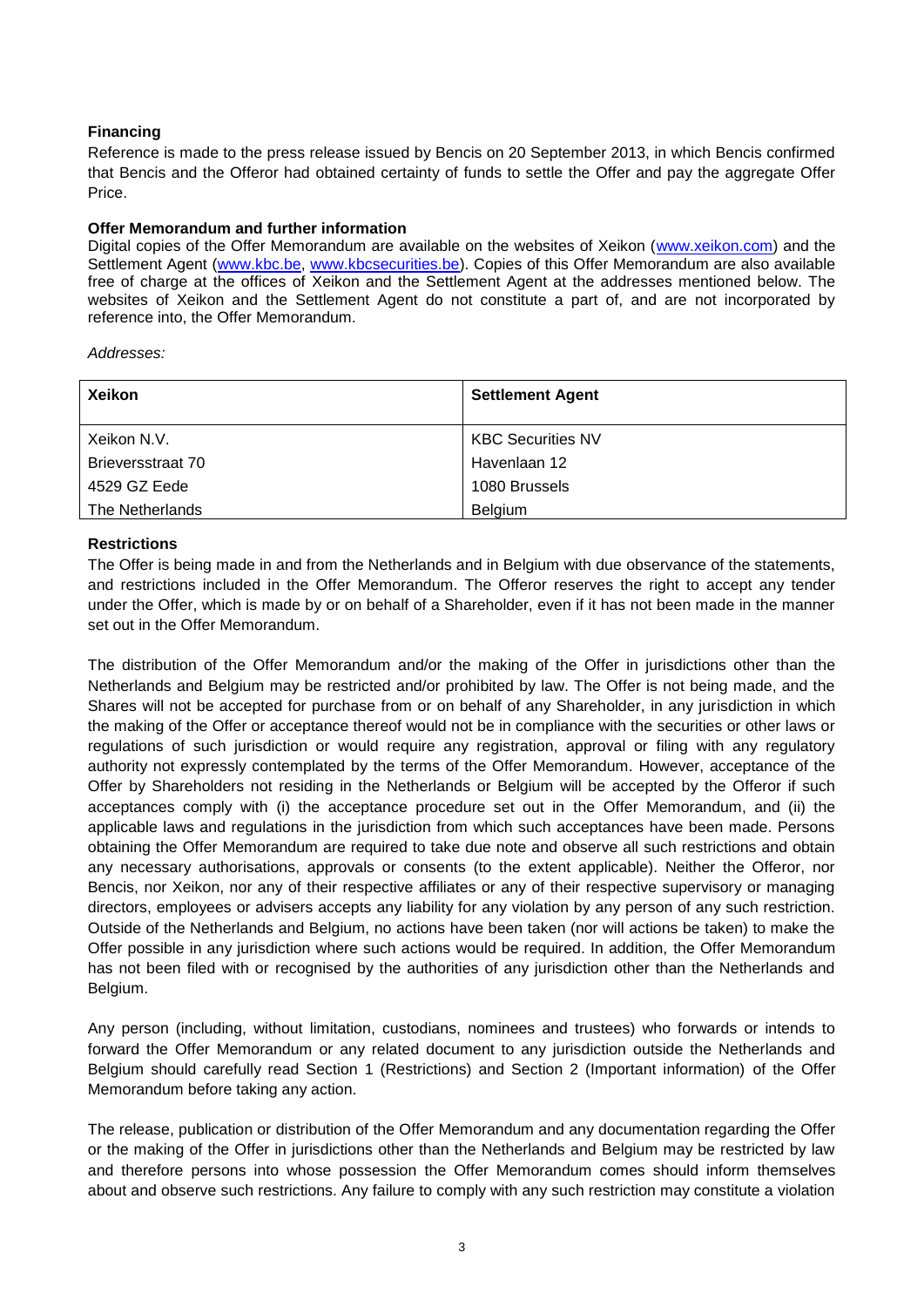# **Financing**

Reference is made to the press release issued by Bencis on 20 September 2013, in which Bencis confirmed that Bencis and the Offeror had obtained certainty of funds to settle the Offer and pay the aggregate Offer Price.

# **Offer Memorandum and further information**

Digital copies of the Offer Memorandum are available on the websites of Xeikon [\(www.xeikon.com\)](http://www.xeikon.com/) and the Settlement Agent [\(www.kbc.be,](http://www.kbc.be/) [www.kbcsecurities.be\)](http://www.kbcsecurities.be/). Copies of this Offer Memorandum are also available free of charge at the offices of Xeikon and the Settlement Agent at the addresses mentioned below. The websites of Xeikon and the Settlement Agent do not constitute a part of, and are not incorporated by reference into, the Offer Memorandum.

*Addresses:*

| <b>Xeikon</b>     | <b>Settlement Agent</b>  |
|-------------------|--------------------------|
| Xeikon N.V.       | <b>KBC Securities NV</b> |
| Brieversstraat 70 | Havenlaan 12             |
| 4529 GZ Eede      | 1080 Brussels            |
| The Netherlands   | Belgium                  |

## **Restrictions**

The Offer is being made in and from the Netherlands and in Belgium with due observance of the statements, and restrictions included in the Offer Memorandum. The Offeror reserves the right to accept any tender under the Offer, which is made by or on behalf of a Shareholder, even if it has not been made in the manner set out in the Offer Memorandum.

The distribution of the Offer Memorandum and/or the making of the Offer in jurisdictions other than the Netherlands and Belgium may be restricted and/or prohibited by law. The Offer is not being made, and the Shares will not be accepted for purchase from or on behalf of any Shareholder, in any jurisdiction in which the making of the Offer or acceptance thereof would not be in compliance with the securities or other laws or regulations of such jurisdiction or would require any registration, approval or filing with any regulatory authority not expressly contemplated by the terms of the Offer Memorandum. However, acceptance of the Offer by Shareholders not residing in the Netherlands or Belgium will be accepted by the Offeror if such acceptances comply with (i) the acceptance procedure set out in the Offer Memorandum, and (ii) the applicable laws and regulations in the jurisdiction from which such acceptances have been made. Persons obtaining the Offer Memorandum are required to take due note and observe all such restrictions and obtain any necessary authorisations, approvals or consents (to the extent applicable). Neither the Offeror, nor Bencis, nor Xeikon, nor any of their respective affiliates or any of their respective supervisory or managing directors, employees or advisers accepts any liability for any violation by any person of any such restriction. Outside of the Netherlands and Belgium, no actions have been taken (nor will actions be taken) to make the Offer possible in any jurisdiction where such actions would be required. In addition, the Offer Memorandum has not been filed with or recognised by the authorities of any jurisdiction other than the Netherlands and Belgium.

Any person (including, without limitation, custodians, nominees and trustees) who forwards or intends to forward the Offer Memorandum or any related document to any jurisdiction outside the Netherlands and Belgium should carefully read Section 1 (Restrictions) and Section 2 (Important information) of the Offer Memorandum before taking any action.

The release, publication or distribution of the Offer Memorandum and any documentation regarding the Offer or the making of the Offer in jurisdictions other than the Netherlands and Belgium may be restricted by law and therefore persons into whose possession the Offer Memorandum comes should inform themselves about and observe such restrictions. Any failure to comply with any such restriction may constitute a violation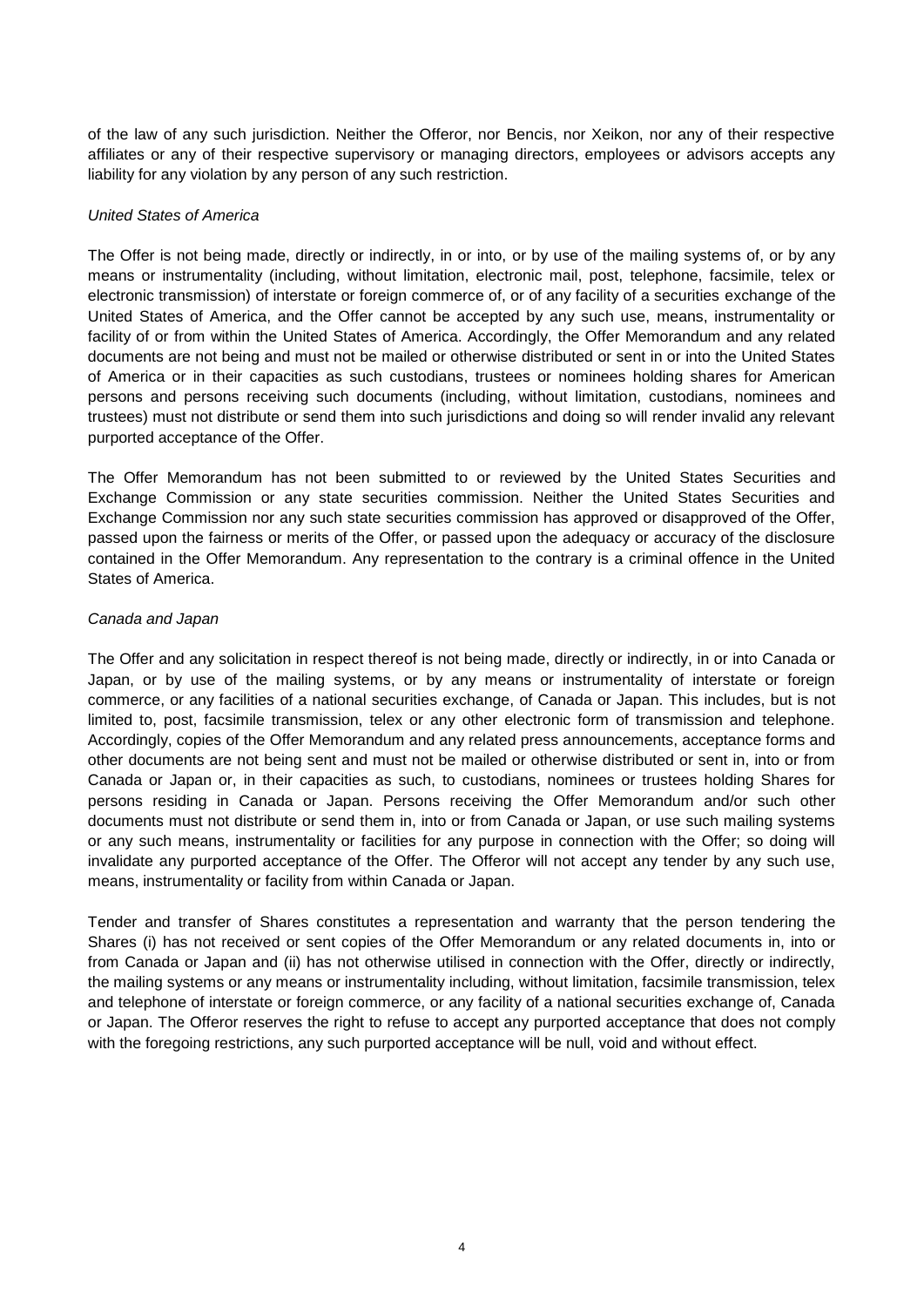of the law of any such jurisdiction. Neither the Offeror, nor Bencis, nor Xeikon, nor any of their respective affiliates or any of their respective supervisory or managing directors, employees or advisors accepts any liability for any violation by any person of any such restriction.

# *United States of America*

The Offer is not being made, directly or indirectly, in or into, or by use of the mailing systems of, or by any means or instrumentality (including, without limitation, electronic mail, post, telephone, facsimile, telex or electronic transmission) of interstate or foreign commerce of, or of any facility of a securities exchange of the United States of America, and the Offer cannot be accepted by any such use, means, instrumentality or facility of or from within the United States of America. Accordingly, the Offer Memorandum and any related documents are not being and must not be mailed or otherwise distributed or sent in or into the United States of America or in their capacities as such custodians, trustees or nominees holding shares for American persons and persons receiving such documents (including, without limitation, custodians, nominees and trustees) must not distribute or send them into such jurisdictions and doing so will render invalid any relevant purported acceptance of the Offer.

The Offer Memorandum has not been submitted to or reviewed by the United States Securities and Exchange Commission or any state securities commission. Neither the United States Securities and Exchange Commission nor any such state securities commission has approved or disapproved of the Offer, passed upon the fairness or merits of the Offer, or passed upon the adequacy or accuracy of the disclosure contained in the Offer Memorandum. Any representation to the contrary is a criminal offence in the United States of America.

## *Canada and Japan*

The Offer and any solicitation in respect thereof is not being made, directly or indirectly, in or into Canada or Japan, or by use of the mailing systems, or by any means or instrumentality of interstate or foreign commerce, or any facilities of a national securities exchange, of Canada or Japan. This includes, but is not limited to, post, facsimile transmission, telex or any other electronic form of transmission and telephone. Accordingly, copies of the Offer Memorandum and any related press announcements, acceptance forms and other documents are not being sent and must not be mailed or otherwise distributed or sent in, into or from Canada or Japan or, in their capacities as such, to custodians, nominees or trustees holding Shares for persons residing in Canada or Japan. Persons receiving the Offer Memorandum and/or such other documents must not distribute or send them in, into or from Canada or Japan, or use such mailing systems or any such means, instrumentality or facilities for any purpose in connection with the Offer; so doing will invalidate any purported acceptance of the Offer. The Offeror will not accept any tender by any such use, means, instrumentality or facility from within Canada or Japan.

Tender and transfer of Shares constitutes a representation and warranty that the person tendering the Shares (i) has not received or sent copies of the Offer Memorandum or any related documents in, into or from Canada or Japan and (ii) has not otherwise utilised in connection with the Offer, directly or indirectly, the mailing systems or any means or instrumentality including, without limitation, facsimile transmission, telex and telephone of interstate or foreign commerce, or any facility of a national securities exchange of, Canada or Japan. The Offeror reserves the right to refuse to accept any purported acceptance that does not comply with the foregoing restrictions, any such purported acceptance will be null, void and without effect.